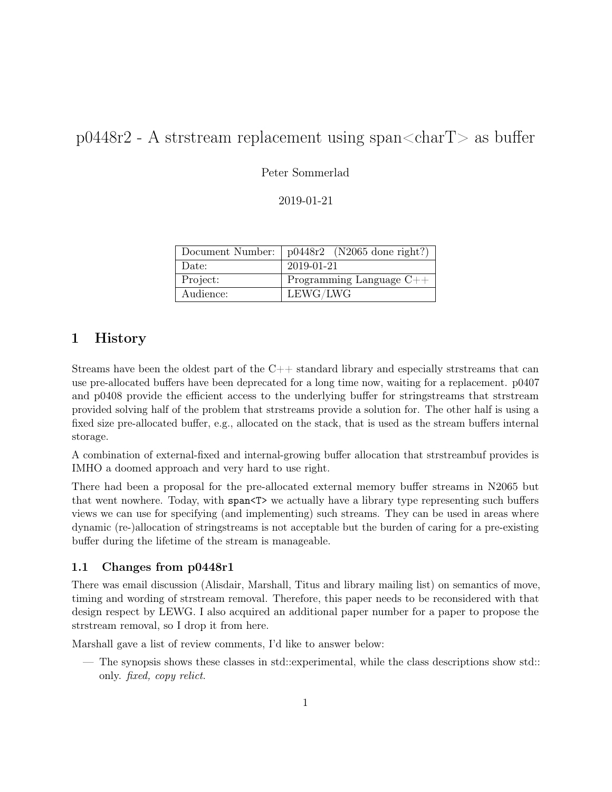# $p0448r2$  - A strstream replacement using span $\langle charT \rangle$  as buffer

Peter Sommerlad

2019-01-21

|           | Document Number:   p0448r2 (N2065 done right?) |
|-----------|------------------------------------------------|
| Date:     | 2019-01-21                                     |
| Project:  | Programming Language $C++$                     |
| Audience: | LEWG/LWG                                       |

# 1 History

Streams have been the oldest part of the  $C_{++}$  standard library and especially strateams that can use pre-allocated buffers have been deprecated for a long time now, waiting for a replacement. p0407 and p0408 provide the efficient access to the underlying buffer for stringstreams that strstream provided solving half of the problem that strstreams provide a solution for. The other half is using a fixed size pre-allocated buffer, e.g., allocated on the stack, that is used as the stream buffers internal storage.

A combination of external-fixed and internal-growing buffer allocation that strstreambuf provides is IMHO a doomed approach and very hard to use right.

There had been a proposal for the pre-allocated external memory buffer streams in N2065 but that went nowhere. Today, with span<T> we actually have a library type representing such buffers views we can use for specifying (and implementing) such streams. They can be used in areas where dynamic (re-)allocation of stringstreams is not acceptable but the burden of caring for a pre-existing buffer during the lifetime of the stream is manageable.

## 1.1 Changes from p0448r1

There was email discussion (Alisdair, Marshall, Titus and library mailing list) on semantics of move, timing and wording of strstream removal. Therefore, this paper needs to be reconsidered with that design respect by LEWG. I also acquired an additional paper number for a paper to propose the strstream removal, so I drop it from here.

Marshall gave a list of review comments, I'd like to answer below:

— The synopsis shows these classes in std::experimental, while the class descriptions show std:: only. fixed, copy relict.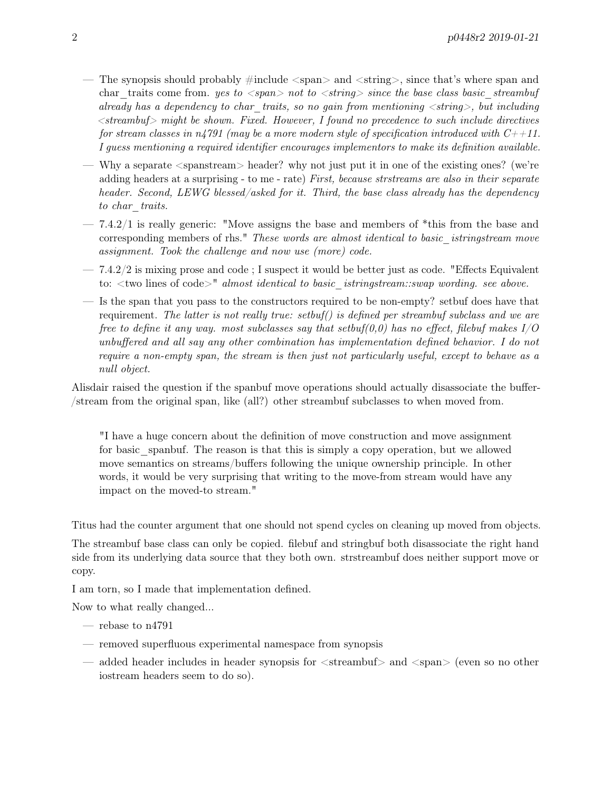- The synopsis should probably  $\#$ include  $\langle$ span $\rangle$  and  $\langle$ string $\rangle$ , since that's where span and characteristic come from. yes to  $\langle$ span $\rangle$  not to  $\langle$ string $\rangle$  since the base class basic streambuf already has a dependency to characteristic so no gain from mentioning  $\langle string \rangle$ , but including  $\leq$ streambuf $>$  might be shown. Fixed. However, I found no precedence to such include directives for stream classes in  $n/2791$  (may be a more modern style of specification introduced with  $C++11$ . I guess mentioning a required identifier encourages implementors to make its definition available.
- Why a separate <spanstream> header? why not just put it in one of the existing ones? (we're adding headers at a surprising - to me - rate) First, because stristreams are also in their separate header. Second, LEWG blessed/asked for it. Third, the base class already has the dependency to char traits.
- $-7.4.2/1$  is really generic: "Move assigns the base and members of  $*$ this from the base and corresponding members of rhs." These words are almost identical to basic istringstream move assignment. Took the challenge and now use (more) code.
- $-7.4.2/2$  is mixing prose and code; I suspect it would be better just as code. "Effects Equivalent to:  $\lt$ two lines of code $>$ " almost identical to basic istringstream::swap wording. see above.
- Is the span that you pass to the constructors required to be non-empty? setbuf does have that requirement. The latter is not really true: setbuf() is defined per streambuf subclass and we are free to define it any way. most subclasses say that setbuf(0,0) has no effect, filebuf makes  $I/O$ unbuffered and all say any other combination has implementation defined behavior. I do not require a non-empty span, the stream is then just not particularly useful, except to behave as a null object.

Alisdair raised the question if the spanbuf move operations should actually disassociate the buffer- /stream from the original span, like (all?) other streambuf subclasses to when moved from.

"I have a huge concern about the definition of move construction and move assignment for basic spanbuf. The reason is that this is simply a copy operation, but we allowed move semantics on streams/buffers following the unique ownership principle. In other words, it would be very surprising that writing to the move-from stream would have any impact on the moved-to stream."

Titus had the counter argument that one should not spend cycles on cleaning up moved from objects.

The streambuf base class can only be copied. filebuf and stringbuf both disassociate the right hand side from its underlying data source that they both own. strstreambuf does neither support move or copy.

I am torn, so I made that implementation defined.

Now to what really changed...

- rebase to n4791
- removed superfluous experimental namespace from synopsis
- added header includes in header synopsis for  $\langle$ streambuf $\rangle$  and  $\langle$ span $\rangle$  (even so no other iostream headers seem to do so).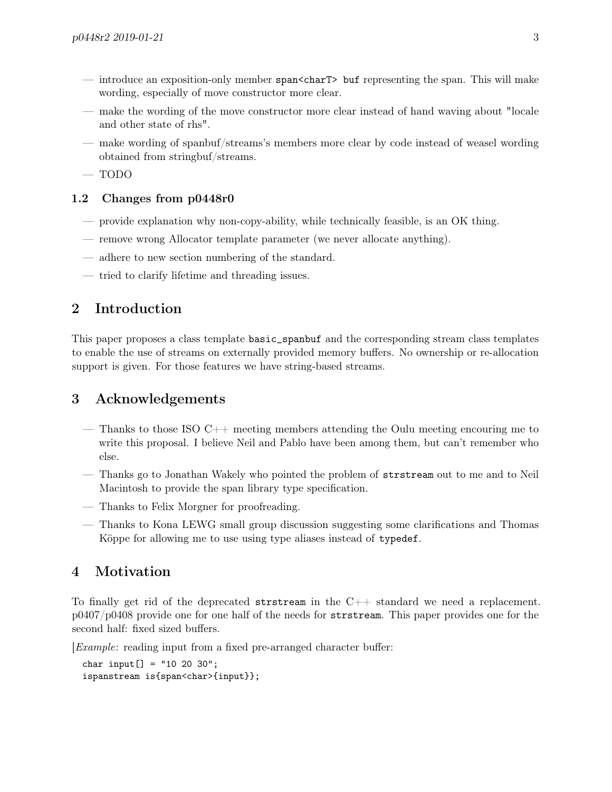- introduce an exposition-only member span<charT> buf representing the span. This will make wording, especially of move constructor more clear.
- make the wording of the move constructor more clear instead of hand waving about "locale and other state of rhs".
- make wording of spanbuf/streams's members more clear by code instead of weasel wording obtained from stringbuf/streams.

— TODO

### 1.2 Changes from p0448r0

- provide explanation why non-copy-ability, while technically feasible, is an OK thing.
- remove wrong Allocator template parameter (we never allocate anything).
- adhere to new section numbering of the standard.
- tried to clarify lifetime and threading issues.

# 2 Introduction

This paper proposes a class template basic\_spanbuf and the corresponding stream class templates to enable the use of streams on externally provided memory buffers. No ownership or re-allocation support is given. For those features we have string-based streams.

## 3 Acknowledgements

- Thanks to those ISO  $C_{++}$  meeting members attending the Oulu meeting encouring me to write this proposal. I believe Neil and Pablo have been among them, but can't remember who else.
- Thanks go to Jonathan Wakely who pointed the problem of strstream out to me and to Neil Macintosh to provide the span library type specification.
- Thanks to Felix Morgner for proofreading.
- Thanks to Kona LEWG small group discussion suggesting some clarifications and Thomas Köppe for allowing me to use using type aliases instead of typedef.

# 4 Motivation

To finally get rid of the deprecated striative in the  $C_{++}$  standard we need a replacement. p0407/p0408 provide one for one half of the needs for strstream. This paper provides one for the second half: fixed sized buffers.

[Example: reading input from a fixed pre-arranged character buffer:

```
char input[] = "10 20 30";
ispanstream is{span<char>{input}};
```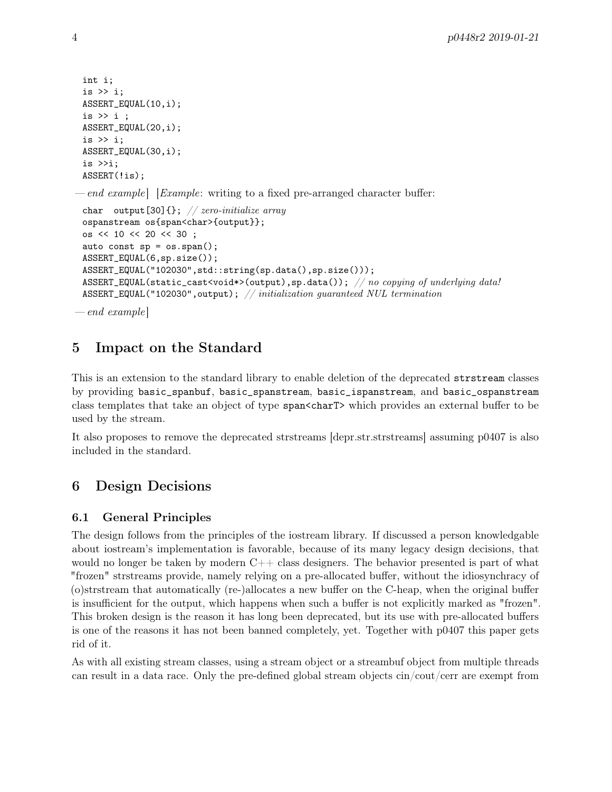```
int i;
 is \gg i;
 ASSERT_EQUAL(10,i);
 is \gg i ;
 ASSERT_EQUAL(20,i);
 is \gg i;
 ASSERT_EQUAL(30,i);
 is >>i;
 ASSERT(!is);
-e<sub>nd</sub> example [Example: writing to a fixed pre-arranged character buffer:
 char output [30] \{\}; // zero-initialize array
 ospanstream os{span<char>{output}};
 os << 10 << 20 << 30 ;
 auto const sp = os.\text{span}();
 ASSERT_EQUAL(6,sp.size());
 ASSERT_EQUAL("102030",std::string(sp.data(),sp.size()));
 ASSERT_EQUAL(static_cast<void*>(output),sp.data()); // no\ coupling\ of\ underlying\ data!ASSERT_EQUAL("102030",output); // initialization guaranteed NUL termination
- end example
```
# 5 Impact on the Standard

This is an extension to the standard library to enable deletion of the deprecated strstream classes by providing basic\_spanbuf, basic\_spanstream, basic\_ispanstream, and basic\_ospanstream class templates that take an object of type span<charT> which provides an external buffer to be used by the stream.

It also proposes to remove the deprecated strstreams [depr.str.strstreams] assuming p0407 is also included in the standard.

# 6 Design Decisions

## 6.1 General Principles

The design follows from the principles of the iostream library. If discussed a person knowledgable about iostream's implementation is favorable, because of its many legacy design decisions, that would no longer be taken by modern C++ class designers. The behavior presented is part of what "frozen" strstreams provide, namely relying on a pre-allocated buffer, without the idiosynchracy of (o)strstream that automatically (re-)allocates a new buffer on the C-heap, when the original buffer is insufficient for the output, which happens when such a buffer is not explicitly marked as "frozen". This broken design is the reason it has long been deprecated, but its use with pre-allocated buffers is one of the reasons it has not been banned completely, yet. Together with p0407 this paper gets rid of it.

As with all existing stream classes, using a stream object or a streambuf object from multiple threads can result in a data race. Only the pre-defined global stream objects cin/cout/cerr are exempt from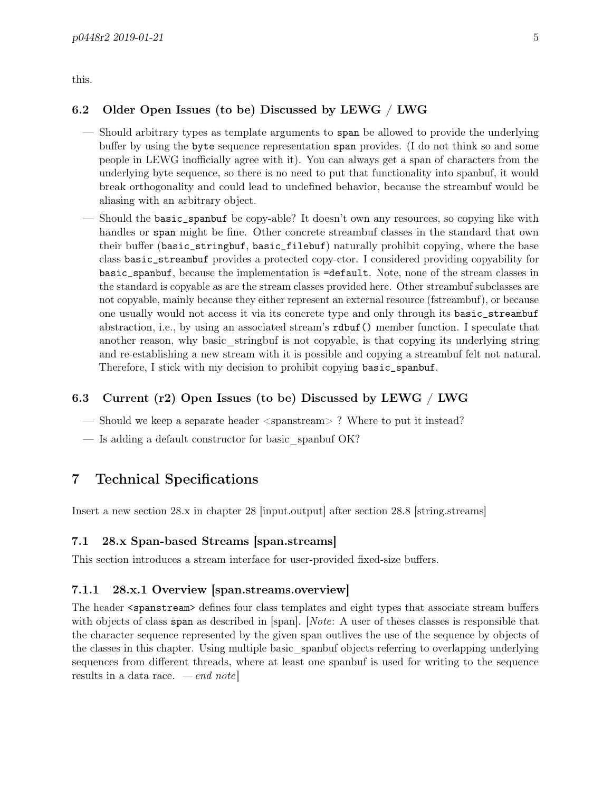this.

## 6.2 Older Open Issues (to be) Discussed by LEWG / LWG

- Should arbitrary types as template arguments to span be allowed to provide the underlying buffer by using the byte sequence representation span provides. (I do not think so and some people in LEWG inofficially agree with it). You can always get a span of characters from the underlying byte sequence, so there is no need to put that functionality into spanbuf, it would break orthogonality and could lead to undefined behavior, because the streambuf would be aliasing with an arbitrary object.
- Should the basic\_spanbuf be copy-able? It doesn't own any resources, so copying like with handles or span might be fine. Other concrete streambuf classes in the standard that own their buffer (basic\_stringbuf, basic\_filebuf) naturally prohibit copying, where the base class basic\_streambuf provides a protected copy-ctor. I considered providing copyability for basic\_spanbuf, because the implementation is =default. Note, none of the stream classes in the standard is copyable as are the stream classes provided here. Other streambuf subclasses are not copyable, mainly because they either represent an external resource (fstreambuf), or because one usually would not access it via its concrete type and only through its basic\_streambuf abstraction, i.e., by using an associated stream's rdbuf() member function. I speculate that another reason, why basic stringbuf is not copyable, is that copying its underlying string and re-establishing a new stream with it is possible and copying a streambuf felt not natural. Therefore, I stick with my decision to prohibit copying basic\_spanbuf.

## 6.3 Current (r2) Open Issues (to be) Discussed by LEWG / LWG

— Should we keep a separate header  $\langle$ spanstream $\rangle$ ? Where to put it instead?

— Is adding a default constructor for basic\_spanbuf OK?

# 7 Technical Specifications

Insert a new section 28.x in chapter 28 [input.output] after section 28.8 [string.streams]

## 7.1 28.x Span-based Streams [span.streams]

This section introduces a stream interface for user-provided fixed-size buffers.

## 7.1.1 28.x.1 Overview [span.streams.overview]

The header <spanstream> defines four class templates and eight types that associate stream buffers with objects of class span as described in [span]. [*Note: A user of theses classes is responsible that* the character sequence represented by the given span outlives the use of the sequence by objects of the classes in this chapter. Using multiple basic\_spanbuf objects referring to overlapping underlying sequences from different threads, where at least one spanbuf is used for writing to the sequence results in a data race.  $\,-\,end$  note]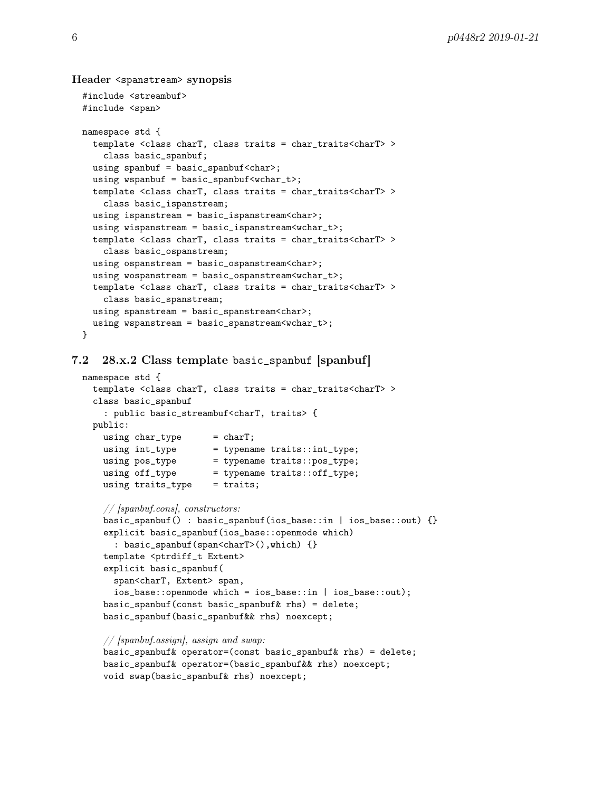```
Header <spanstream> synopsis
```

```
#include <streambuf>
#include <span>
namespace std {
 template <class charT, class traits = char_traits<charT> >
    class basic_spanbuf;
 using spanbuf = basic_spanbuf<char>;
 using wspanbuf = basic_spanbuf<wchar_t>;
 template <class charT, class traits = char_traits<charT> >
    class basic_ispanstream;
 using ispanstream = basic_ispanstream<char>;
 using wispanstream = basic_ispanstream<wchar_t>;
 template <class charT, class traits = char_traits<charT> >
    class basic_ospanstream;
 using ospanstream = basic_ospanstream<char>;
 using wospanstream = basic_ospanstream<wchar_t>;
 template <class charT, class traits = char_traits<charT> >
   class basic_spanstream;
 using spanstream = basic_spanstream<char>;
 using wspanstream = basic_spanstream<wchar_t>;
}
```
7.2 28.x.2 Class template basic\_spanbuf [spanbuf ]

```
namespace std {
 template <class charT, class traits = char_traits<charT> >
 class basic_spanbuf
    : public basic_streambuf<charT, traits> {
 public:
   using char\_type = char;
   using int_type = typename traits::int_type;
   using pos_type = typename traits::pos_type;
   using off\_type = typename traits::off_type;
   using traits_type = traits;
   // [spanbuf.cons], constructors:
   basic_spanbuf() : basic_spanbuf(ios_base::in | ios_base::out) {}
   explicit basic_spanbuf(ios_base::openmode which)
     : basic_spanbuf(span<charT>(),which) {}
```

```
template <ptrdiff_t Extent>
explicit basic_spanbuf(
  span<charT, Extent> span,
  ios_base::openmode which = ios_base::in | ios_base::out);
basic_spanbuf(const basic_spanbuf& rhs) = delete;
basic_spanbuf(basic_spanbuf&& rhs) noexcept;
```

```
// [spanbuf.assign], assign and swap:
basic_spanbuf& operator=(const basic_spanbuf& rhs) = delete;
basic_spanbuf& operator=(basic_spanbuf&& rhs) noexcept;
void swap(basic_spanbuf& rhs) noexcept;
```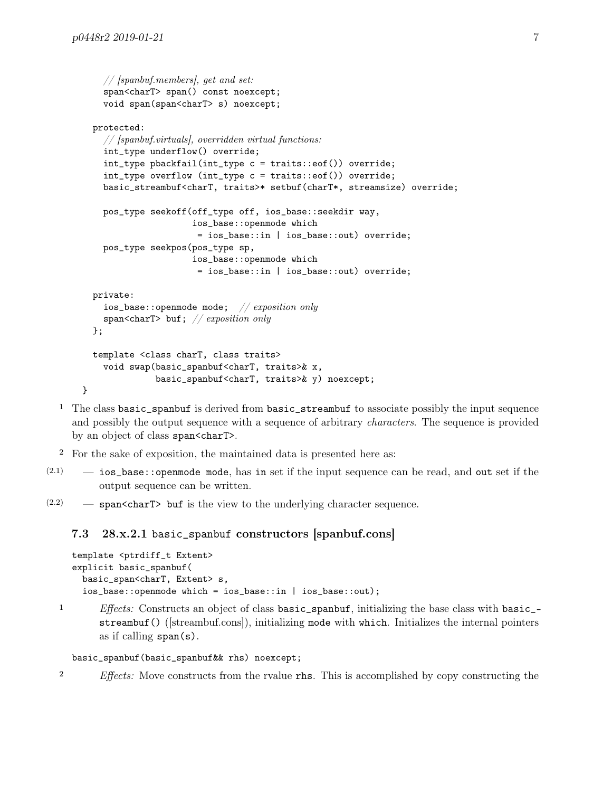```
// [spanbuf.members], get and set:
    span<charT> span() const noexcept;
    void span(span<charT> s) noexcept;
 protected:
    // [spanbuf.virtuals], overridden virtual functions:
    int_type underflow() override;
    int_type pbackfail(int_type c = traits::eof()) override;
    int_type overflow (int_type c = traits::eof()) override;
    basic_streambuf<charT, traits>* setbuf(charT*, streamsize) override;
    pos_type seekoff(off_type off, ios_base::seekdir way,
                     ios_base::openmode which
                      = ios_base::in | ios_base::out) override;
    pos_type seekpos(pos_type sp,
                      ios_base::openmode which
                      = ios_base::in | ios_base::out) override;
 private:
    ios_base::openmode mode; // exposition only
    span<charT> buf; // exposition only
 };
 template <class charT, class traits>
    void swap(basic_spanbuf<charT, traits>& x,
              basic_spanbuf<charT, traits>& y) noexcept;
}
```
- <sup>1</sup> The class basic\_spanbuf is derived from basic\_streambuf to associate possibly the input sequence and possibly the output sequence with a sequence of arbitrary *characters*. The sequence is provided by an object of class span<charT>.
- 2 For the sake of exposition, the maintained data is presented here as:
- $(2.1)$  ios\_base::openmode mode, has in set if the input sequence can be read, and out set if the output sequence can be written.
- (2.2) span<charT> buf is the view to the underlying character sequence.

## 7.3 28.x.2.1 basic\_spanbuf constructors [spanbuf.cons]

```
template <ptrdiff_t Extent>
explicit basic_spanbuf(
 basic_span<charT, Extent> s,
  ios_base::openmode which = ios_base::in | ios_base::out);
```
<sup>1</sup> Effects: Constructs an object of class basic\_spanbuf, initializing the base class with basic\_streambuf() ([streambuf.cons]), initializing mode with which. Initializes the internal pointers as if calling span(s).

basic\_spanbuf(basic\_spanbuf&& rhs) noexcept;

<sup>2</sup> Effects: Move constructs from the rvalue rhs. This is accomplished by copy constructing the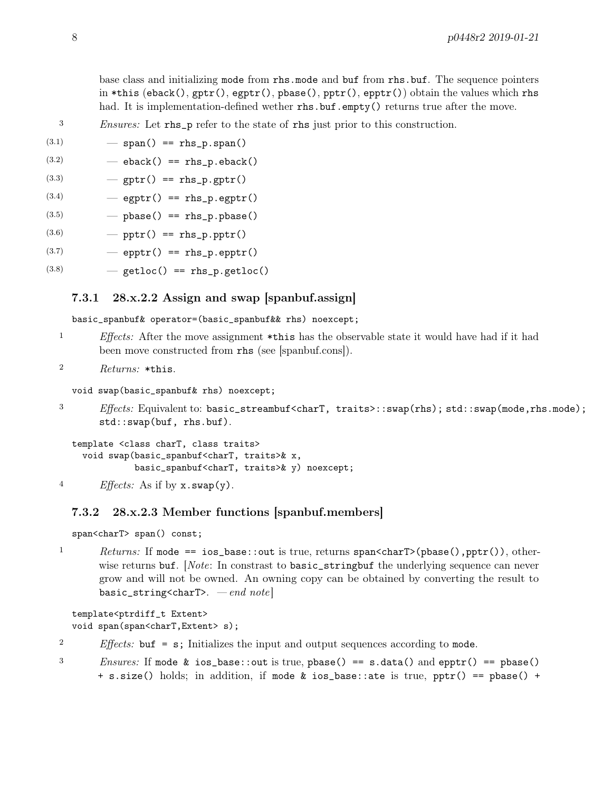base class and initializing mode from rhs.mode and buf from rhs.buf. The sequence pointers in \*this (eback(), gptr(), egptr(), pbase(), pptr(), epptr()) obtain the values which rhs had. It is implementation-defined wether rhs.buf.empty() returns true after the move.

<sup>3</sup> Ensures: Let rhs\_p refer to the state of rhs just prior to this construction.

```
(3.1) - span() == rhs_p.span()
```
 $(3.2)$   $-$  eback() == rhs\_p.eback()

```
(3.3) - gptr() == rhs_p.gptr()
```
- $(3.4)$   $-$  egptr() == rhs\_p.egptr()
- $(3.5)$   $-$  pbase() == rhs\_p.pbase()
- $(3.6)$   $\qquad \qquad -$  pptr() == rhs\_p.pptr()
- $(3.7)$   $-$  epptr() == rhs\_p.epptr()
- $(3.8)$   $-$  getloc() == rhs\_p.getloc()

#### 7.3.1 28.x.2.2 Assign and swap [spanbuf.assign]

basic\_spanbuf& operator=(basic\_spanbuf&& rhs) noexcept;

- <sup>1</sup> Effects: After the move assignment \*this has the observable state it would have had if it had been move constructed from rhs (see [spanbuf.cons]).
- 2 Returns: \*this.

```
void swap(basic_spanbuf& rhs) noexcept;
```
 $3$  Effects: Equivalent to: basic\_streambuf<charT, traits>::swap(rhs); std::swap(mode,rhs.mode); std::swap(buf, rhs.buf).

```
template <class charT, class traits>
  void swap(basic_spanbuf<charT, traits>& x,
            basic_spanbuf<charT, traits>& y) noexcept;
```
<sup>4</sup> Effects: As if by  $x \cdot s \text{wap}(y)$ .

## 7.3.2 28.x.2.3 Member functions [spanbuf.members]

span<charT> span() const;

1 Returns: If mode == ios\_base::out is true, returns span<charT>(pbase(),pptr()), otherwise returns buf. *Note*: In constrast to basic\_stringbuf the underlying sequence can never grow and will not be owned. An owning copy can be obtained by converting the result to basic\_string<charT>.  $—end note]$ 

```
template<ptrdiff_t Extent>
void span(span<charT,Extent> s);
```
- <sup>2</sup> *Effects:* buf =  $s$ ; Initializes the input and output sequences according to mode.
- 3 Ensures: If mode & ios\_base::out is true, pbase() == s.data() and epptr() == pbase() + s.size() holds; in addition, if mode & ios\_base::ate is true, pptr() == pbase() +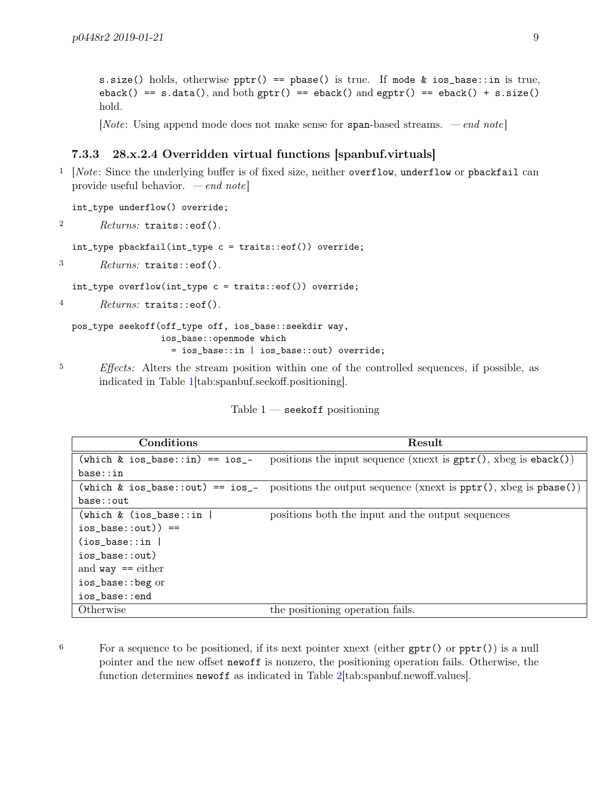s.size() holds, otherwise  $pptr() == phase()$  is true. If mode & ios\_base::in is true, eback() ==  $s.data()$ , and both  $gptr() == eback()$  and  $egptr() == eback() + s.size()$ hold.

[*Note*: Using append mode does not make sense for span-based streams.  $-e$ *nd note*]

## 7.3.3 28.x.2.4 Overridden virtual functions [spanbuf.virtuals]

 $1 \quad [Note: Since the underlying buffer is of fixed size, neither overflow, underflow or backfail can]$ provide useful behavior.  $\,-\,end$  note]

```
int_type underflow() override;
```

```
2 Returns: traits::eof().
```
int\_type pbackfail(int\_type c = traits::eof()) override;

3 Returns: traits::eof().

int\_type overflow(int\_type c = traits::eof()) override;

```
4 Returns: traits::eof().
```

```
pos_type seekoff(off_type off, ios_base::seekdir way,
                 ios_base::openmode which
                   = ios_base::in | ios_base::out) override;
```
<sup>5</sup> Effects: Alters the stream position within one of the controlled sequences, if possible, as indicated in Table [1\[](#page-8-0)tab:spanbuf.seekoff.positioning].

| Conditions                                    | Result                                                                                                  |
|-----------------------------------------------|---------------------------------------------------------------------------------------------------------|
| $(which & is base::in) == iso_$               | positions the input sequence (xnext is $gptr()$ , xbeg is $eback()$ )                                   |
| $base:$ in                                    |                                                                                                         |
|                                               | (which & ios_base::out) == ios_- positions the output sequence (xnext is $pptr()$ , xbeg is $phase()$ ) |
| base:: out                                    |                                                                                                         |
| $(\text{which } \& \text{ (ios\_base::in }  $ | positions both the input and the output sequences                                                       |
| $ios\_base::out)$ ==                          |                                                                                                         |
| (ios base::in                                 |                                                                                                         |
| ios_base::out)                                |                                                                                                         |
| and way $=$ either                            |                                                                                                         |
| ios_base::beg or                              |                                                                                                         |
| ios_base::end                                 |                                                                                                         |
| Otherwise                                     | the positioning operation fails.                                                                        |

#### <span id="page-8-0"></span>Table  $1$  — seekoff positioning

<sup>6</sup> For a sequence to be positioned, if its next pointer xnext (either gptr() or pptr()) is a null pointer and the new offset newoff is nonzero, the positioning operation fails. Otherwise, the function determines newoff as indicated in Table [2\[](#page-9-0)tab:spanbuf.newoff.values].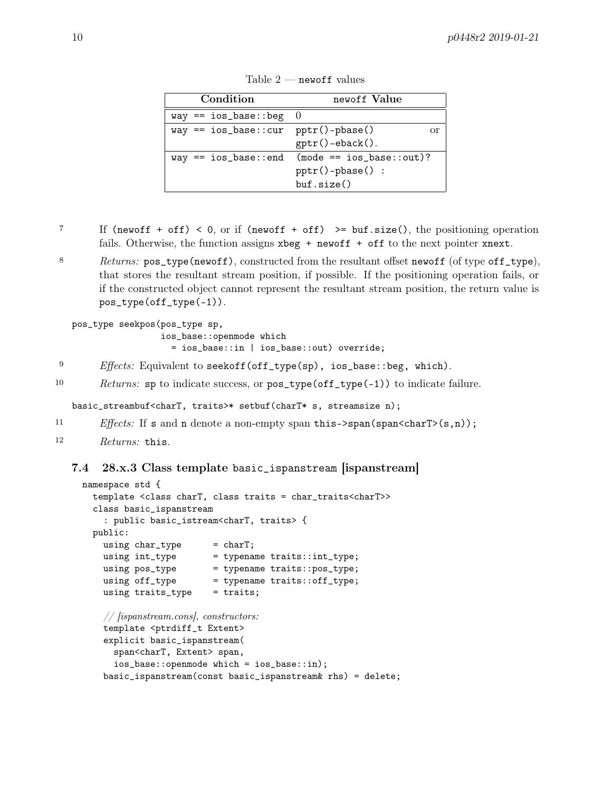| Condition                              | newoff Value                                     |
|----------------------------------------|--------------------------------------------------|
| way == ios_base::beg $0$               |                                                  |
| $way == ios_base::cur pptr() -phase()$ | or                                               |
|                                        | $gptr()-eback()$ .                               |
|                                        | $way == iso\_base::end$ (mode == ios_base::out)? |
|                                        | $pptr()$ -pbase $()$ :                           |
|                                        | buf.size()                                       |

<span id="page-9-0"></span>Table  $2$  — newoff values

- <sup>7</sup> If (newoff + off) < 0, or if (newoff + off) >= buf.size(), the positioning operation fails. Otherwise, the function assigns xbeg + newoff + off to the next pointer xnext.
- 8 Returns:  $pos\_type(newoff)$ , constructed from the resultant offset newoff (of type off\_type), that stores the resultant stream position, if possible. If the positioning operation fails, or if the constructed object cannot represent the resultant stream position, the return value is pos\_type(off\_type(-1)).

pos\_type seekpos(pos\_type sp,

ios\_base::openmode which = ios\_base::in | ios\_base::out) override;

- <sup>9</sup> Effects: Equivalent to seekoff(off\_type(sp), ios\_base::beg, which).
- 10 Returns: sp to indicate success, or pos\_type(off\_type(-1)) to indicate failure.

```
basic_streambuf<charT, traits>* setbuf(charT* s, streamsize n);
```
- <sup>11</sup> *Effects:* If **s** and **n** denote a non-empty span this->span(span<charT>(s,n));
- <sup>12</sup> Returns: this.

### 7.4 28.x.3 Class template basic\_ispanstream [ispanstream]

```
namespace std {
 template <class charT, class traits = char_traits<charT>>
 class basic_ispanstream
    : public basic_istream<charT, traits> {
 public:
   using char_type = charT;
   using int_type = typename traits::int_type;using pos_type = typename traits::pos_type;using off\_type = typename traits::off_type;
   using traits_type = traits;
   // [ispanstream.cons], constructors:
   template <ptrdiff_t Extent>
   explicit basic_ispanstream(
     span<charT, Extent> span,
      ios_base::openmode which = ios_base::in);
   basic_ispanstream(const basic_ispanstream& rhs) = delete;
```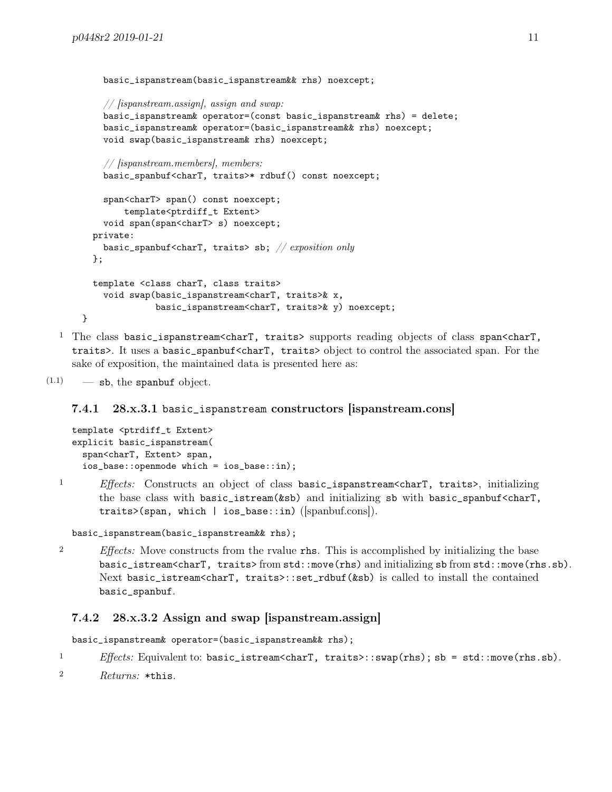basic\_ispanstream(basic\_ispanstream&& rhs) noexcept;

```
// [ispanstream.assign], assign and swap:
basic_ispanstream& operator=(const basic_ispanstream& rhs) = delete;
basic_ispanstream& operator=(basic_ispanstream&& rhs) noexcept;
void swap(basic_ispanstream& rhs) noexcept;
// [ispanstream.members], members:
```

```
basic_spanbuf<charT, traits>* rdbuf() const noexcept;
```

```
span<charT> span() const noexcept;
      template<ptrdiff_t Extent>
  void span(span<charT> s) noexcept;
private:
  basic_spanbuf<charT, traits> sb; // exposition only
};
template <class charT, class traits>
  void swap(basic_ispanstream<charT, traits>& x,
            basic_ispanstream<charT, traits>& y) noexcept;
```

```
}
```
<sup>1</sup> The class basic\_ispanstream<charT, traits> supports reading objects of class span<charT, traits>. It uses a basic\_spanbuf<charT, traits> object to control the associated span. For the sake of exposition, the maintained data is presented here as:

 $(1.1)$  — sb, the spanbuf object.

### 7.4.1 28.x.3.1 basic\_ispanstream constructors [ispanstream.cons]

```
template <ptrdiff_t Extent>
explicit basic_ispanstream(
  span<charT, Extent> span,
  ios_base::openmode which = ios_base::in);
```
<sup>1</sup> Effects: Constructs an object of class basic\_ispanstream<charT, traits>, initializing the base class with basic\_istream(&sb) and initializing sb with basic\_spanbuf<charT, traits>(span, which | ios\_base::in) ([spanbuf.cons]).

basic\_ispanstream(basic\_ispanstream&& rhs);

 $2$  Effects: Move constructs from the rvalue rhs. This is accomplished by initializing the base basic\_istream<charT, traits> from std::move(rhs) and initializing sb from std::move(rhs.sb). Next basic\_istream<charT, traits>::set\_rdbuf(&sb) is called to install the contained basic\_spanbuf.

## 7.4.2 28.x.3.2 Assign and swap [ispanstream.assign]

basic\_ispanstream& operator=(basic\_ispanstream&& rhs);

- <sup>1</sup> Effects: Equivalent to: basic\_istream<charT, traits>::swap(rhs); sb = std::move(rhs.sb).
- <sup>2</sup> Returns: \*this.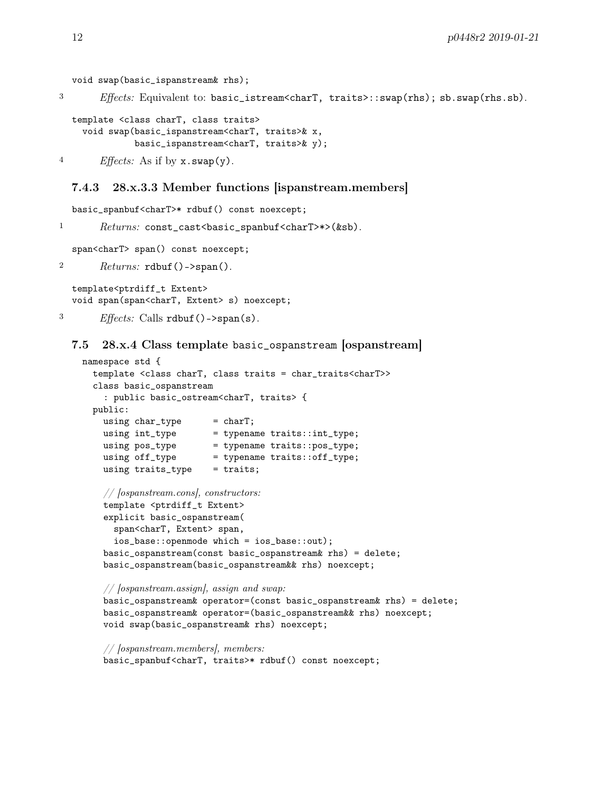void swap(basic\_ispanstream& rhs);

 $3$  Effects: Equivalent to: basic\_istream<charT, traits>::swap(rhs); sb.swap(rhs.sb).

```
template <class charT, class traits>
  void swap(basic_ispanstream<charT, traits>& x,
            basic_ispanstream<charT, traits>& y);
```
4 Effects: As if by  $x \cdot s$  wap(y).

#### 7.4.3 28.x.3.3 Member functions [ispanstream.members]

basic\_spanbuf<charT>\* rdbuf() const noexcept;

1  $Returns: const\_cast < basic\_spanbuf < charT$  \*>(&sb).

span<charT> span() const noexcept;

2  $Returns:$   $rdbuf() \rightarrow span()$ .

template<ptrdiff\_t Extent> void span(span<charT, Extent> s) noexcept;

```
3 Effects: Calls rdbuf()->span(s).
```
#### 7.5 28.x.4 Class template basic\_ospanstream [ospanstream]

```
namespace std {
 template <class charT, class traits = char_traits<charT>>
 class basic_ospanstream
    : public basic_ostream<charT, traits> {
 public:
   using char\_type = charT;using int_type = typename traits::int_type;
   using pos_type = typename traits::pos_type;using off\_type = typename traits::off_type;
   using traits_type = traits;
   // [ospanstream.cons], constructors:
   template <ptrdiff_t Extent>
   explicit basic_ospanstream(
     span<charT, Extent> span,
     ios_base::openmode which = ios_base::out);
   basic_ospanstream(const basic_ospanstream& rhs) = delete;
   basic_ospanstream(basic_ospanstream&& rhs) noexcept;
```

```
// [ospanstream.assign], assign and swap:
basic_ospanstream& operator=(const basic_ospanstream& rhs) = delete;
basic_ospanstream& operator=(basic_ospanstream&& rhs) noexcept;
void swap(basic_ospanstream& rhs) noexcept;
```

```
// [ospanstream.members], members:
basic_spanbuf<charT, traits>* rdbuf() const noexcept;
```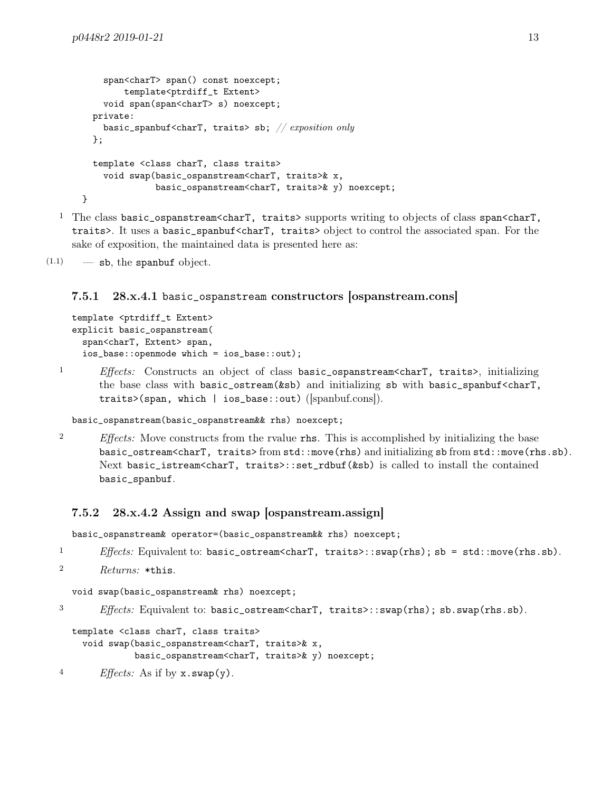```
span<charT> span() const noexcept;
        template<ptrdiff_t Extent>
    void span(span<charT> s) noexcept;
 private:
    basic_spanbuf<charT, traits> sb; // exposition only
 };
 template <class charT, class traits>
    void swap(basic_ospanstream<charT, traits>& x,
              basic_ospanstream<charT, traits>& y) noexcept;
}
```
<sup>1</sup> The class basic\_ospanstream<charT, traits> supports writing to objects of class span<charT, traits>. It uses a basic\_spanbuf<charT, traits> object to control the associated span. For the sake of exposition, the maintained data is presented here as:

 $(1.1)$  — sb, the spanbuf object.

#### 7.5.1 28.x.4.1 basic\_ospanstream constructors [ospanstream.cons]

template <ptrdiff\_t Extent> explicit basic\_ospanstream( span<charT, Extent> span, ios\_base::openmode which = ios\_base::out);

<sup>1</sup> Effects: Constructs an object of class basic\_ospanstream<charT, traits>, initializing the base class with basic\_ostream(&sb) and initializing sb with basic\_spanbuf<charT, traits>(span, which | ios\_base::out) ([spanbuf.cons]).

basic\_ospanstream(basic\_ospanstream&& rhs) noexcept;

 $2$  Effects: Move constructs from the rvalue rhs. This is accomplished by initializing the base basic\_ostream<charT, traits> from std::move(rhs) and initializing sb from std::move(rhs.sb). Next basic\_istream<charT, traits>::set\_rdbuf(&sb) is called to install the contained basic\_spanbuf.

## 7.5.2 28.x.4.2 Assign and swap [ospanstream.assign]

basic\_ospanstream& operator=(basic\_ospanstream&& rhs) noexcept;

1 Effects: Equivalent to: basic\_ostream<charT, traits>::swap(rhs); sb = std::move(rhs.sb).

```
2 Returns: *this.
```
void swap(basic\_ospanstream& rhs) noexcept;

```
3 Effects: Equivalent to: basic_ostream<charT, traits>::swap(rhs); sb.swap(rhs.sb).
```
template <class charT, class traits> void swap(basic\_ospanstream<charT, traits>& x, basic\_ospanstream<charT, traits>& y) noexcept;

4 Effects: As if by  $x \cdot s$  wap(y).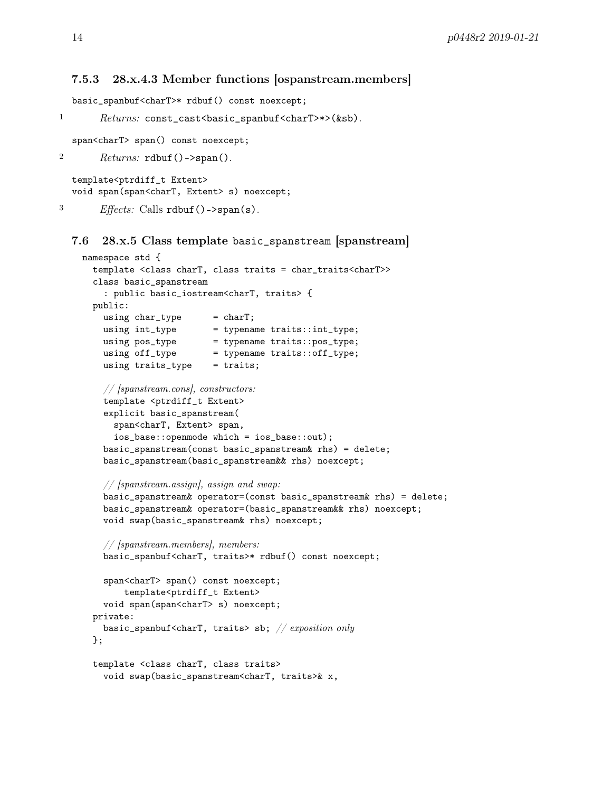## 7.5.3 28.x.4.3 Member functions [ospanstream.members]

basic\_spanbuf<charT>\* rdbuf() const noexcept;

```
1 Returns: const\_cast < basic\_spanbuf < charT >> (ksb).
```

```
span<charT> span() const noexcept;
```

```
2 Returns: rdbuf() \rightarrow span().
```
template<ptrdiff\_t Extent> void span(span<charT, Extent> s) noexcept;

3 Effects: Calls  $rdbuf() \rightarrow span(s)$ .

#### 7.6 28.x.5 Class template basic\_spanstream [spanstream]

```
namespace std {
 template <class charT, class traits = char_traits<charT>>
  class basic_spanstream
    : public basic_iostream<charT, traits> {
 public:
   using char\_type = charT;using int_type = typename traits::int_type;
   using pos_type = typename traits::pos_type;
    using off\_type = typename traits::off_type;
   using traits_type = traits;
    // [spanstream.cons], constructors:
    template <ptrdiff_t Extent>
    explicit basic_spanstream(
     span<charT, Extent> span,
      ios_base::openmode which = ios_base::out);
    basic_spanstream(const basic_spanstream& rhs) = delete;
    basic_spanstream(basic_spanstream&& rhs) noexcept;
    // [spanstream.assign], assign and swap:
    basic_spanstream& operator=(const basic_spanstream& rhs) = delete;
   basic_spanstream& operator=(basic_spanstream&& rhs) noexcept;
    void swap(basic_spanstream& rhs) noexcept;
    // [spanstream.members], members:
    basic_spanbuf<charT, traits>* rdbuf() const noexcept;
    span<charT> span() const noexcept;
        template<ptrdiff_t Extent>
    void span(span<charT> s) noexcept;
 private:
    basic_spanbuf<charT, traits> sb; // exposition only
 };
 template <class charT, class traits>
    void swap(basic_spanstream<charT, traits>& x,
```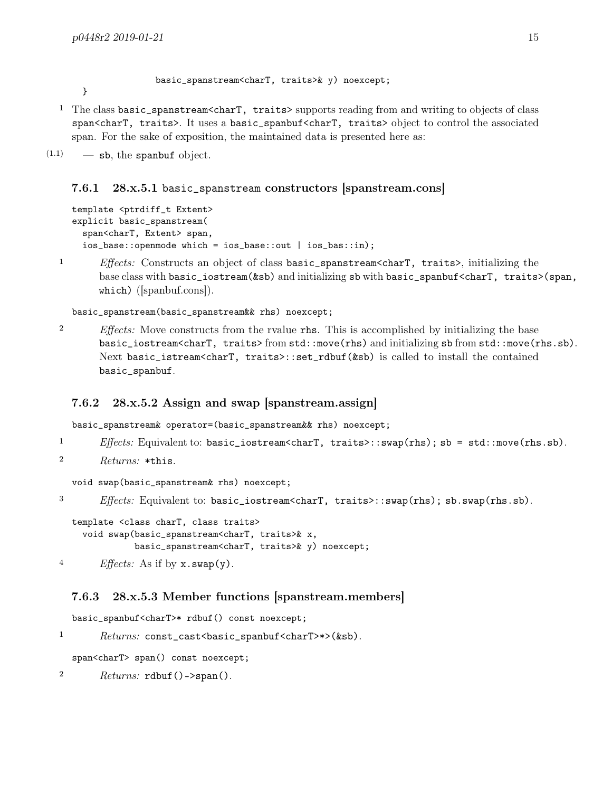basic\_spanstream<charT, traits>& y) noexcept;

```
}
```
<sup>1</sup> The class basic\_spanstream<charT, traits> supports reading from and writing to objects of class span<charT, traits>. It uses a basic\_spanbuf<charT, traits> object to control the associated span. For the sake of exposition, the maintained data is presented here as:

 $(1.1)$  — sb, the spanbuf object.

## 7.6.1 28.x.5.1 basic\_spanstream constructors [spanstream.cons]

```
template <ptrdiff_t Extent>
explicit basic_spanstream(
  span<charT, Extent> span,
  ios_base::openmode which = ios_base::out | ios_bas::in);
```
<sup>1</sup> *Effects:* Constructs an object of class basic\_spanstream<charT, traits>, initializing the base class with basic\_iostream(&sb) and initializing sb with basic\_spanbuf<charT, traits>(span, which) ([spanbuf.cons]).

basic\_spanstream(basic\_spanstream&& rhs) noexcept;

 $2$  Effects: Move constructs from the rvalue rhs. This is accomplished by initializing the base basic\_iostream<charT, traits> from std::move(rhs) and initializing sb from std::move(rhs.sb). Next basic\_istream<charT, traits>::set\_rdbuf(&sb) is called to install the contained basic\_spanbuf.

## 7.6.2 28.x.5.2 Assign and swap [spanstream.assign]

basic\_spanstream& operator=(basic\_spanstream&& rhs) noexcept;

- <sup>1</sup> Effects: Equivalent to: basic\_iostream<charT, traits>::swap(rhs); sb = std::move(rhs.sb).
- 2 Returns: \*this.

void swap(basic\_spanstream& rhs) noexcept;

```
3 Effects: Equivalent to: basic_iostream<charT, traits>::swap(rhs); sb.swap(rhs.sb).
```

```
template <class charT, class traits>
  void swap(basic_spanstream<charT, traits>& x,
            basic_spanstream<charT, traits>& y) noexcept;
```
4 Effects: As if by  $x \cdot s$  wap(y).

## 7.6.3 28.x.5.3 Member functions [spanstream.members]

basic\_spanbuf<charT>\* rdbuf() const noexcept;

```
1 Returns: const\_cast < basic\_spanbuf < charT >> (ksb).
```
span<charT> span() const noexcept;

```
2 Returns: rdbuf() \rightarrow span().
```